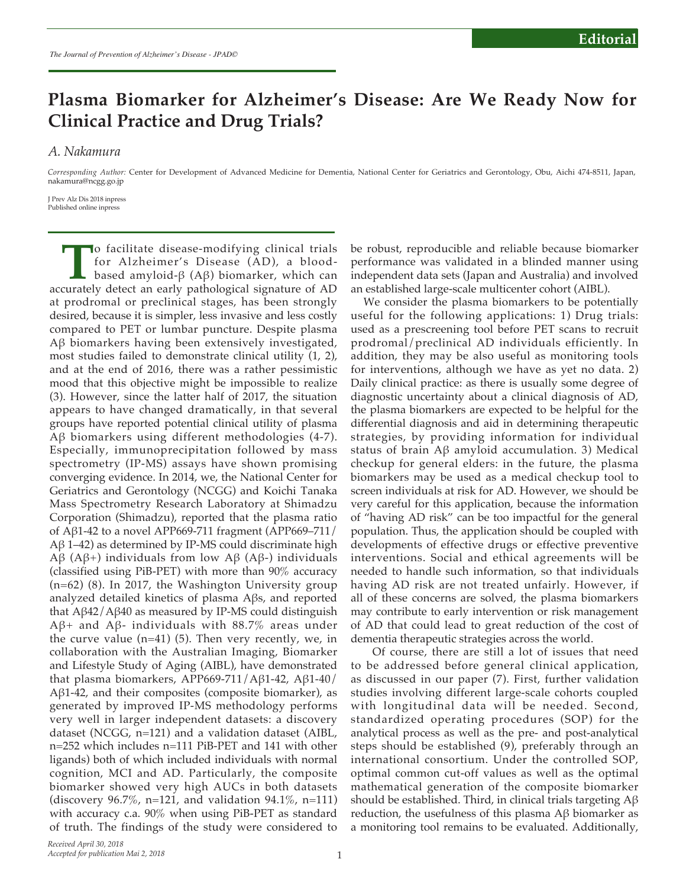## **Plasma Biomarker for Alzheimer's Disease: Are We Ready Now for Clinical Practice and Drug Trials?**

*A. Nakamura*

*Corresponding Author:* Center for Development of Advanced Medicine for Dementia, National Center for Geriatrics and Gerontology, Obu, Aichi 474-8511, Japan, nakamura@ncgg.go.jp

J Prev Alz Dis 2018 inpress Published online inpress

**T**o facilitate disease-modifying clinical trials<br>for Alzheimer's Disease (AD), a blood-<br>based amyloid- $\beta$  (A $\beta$ ) biomarker, which can<br>curately detect an early pathological signature of AD for Alzheimer's Disease (AD), a bloodbased amyloid-β (Aβ) biomarker, which can accurately detect an early pathological signature of AD at prodromal or preclinical stages, has been strongly desired, because it is simpler, less invasive and less costly compared to PET or lumbar puncture. Despite plasma Aβ biomarkers having been extensively investigated, most studies failed to demonstrate clinical utility (1, 2), and at the end of 2016, there was a rather pessimistic mood that this objective might be impossible to realize (3). However, since the latter half of 2017, the situation appears to have changed dramatically, in that several groups have reported potential clinical utility of plasma Aβ biomarkers using different methodologies (4-7). Especially, immunoprecipitation followed by mass spectrometry (IP-MS) assays have shown promising converging evidence. In 2014, we, the National Center for Geriatrics and Gerontology (NCGG) and Koichi Tanaka Mass Spectrometry Research Laboratory at Shimadzu Corporation (Shimadzu), reported that the plasma ratio of Aβ1-42 to a novel APP669-711 fragment (APP669–711/ Aβ 1–42) as determined by IP-MS could discriminate high Aβ (Aβ+) individuals from low Aβ (Aβ-) individuals (classified using PiB-PET) with more than 90% accuracy (n=62) (8). In 2017, the Washington University group analyzed detailed kinetics of plasma Aβs, and reported that Aβ42/Aβ40 as measured by IP-MS could distinguish Aβ+ and Aβ- individuals with 88.7% areas under the curve value (n=41) (5). Then very recently, we, in collaboration with the Australian Imaging, Biomarker and Lifestyle Study of Aging (AIBL), have demonstrated that plasma biomarkers, APP669-711/Aβ1-42, Aβ1-40/ Aβ1-42, and their composites (composite biomarker), as generated by improved IP-MS methodology performs very well in larger independent datasets: a discovery dataset (NCGG, n=121) and a validation dataset (AIBL, n=252 which includes n=111 PiB-PET and 141 with other ligands) both of which included individuals with normal cognition, MCI and AD. Particularly, the composite biomarker showed very high AUCs in both datasets (discovery 96.7%, n=121, and validation 94.1%, n=111) with accuracy c.a. 90% when using PiB-PET as standard of truth. The findings of the study were considered to

be robust, reproducible and reliable because biomarker performance was validated in a blinded manner using independent data sets (Japan and Australia) and involved an established large-scale multicenter cohort (AIBL).

We consider the plasma biomarkers to be potentially useful for the following applications: 1) Drug trials: used as a prescreening tool before PET scans to recruit prodromal/preclinical AD individuals efficiently. In addition, they may be also useful as monitoring tools for interventions, although we have as yet no data. 2) Daily clinical practice: as there is usually some degree of diagnostic uncertainty about a clinical diagnosis of AD, the plasma biomarkers are expected to be helpful for the differential diagnosis and aid in determining therapeutic strategies, by providing information for individual status of brain Aβ amyloid accumulation. 3) Medical checkup for general elders: in the future, the plasma biomarkers may be used as a medical checkup tool to screen individuals at risk for AD. However, we should be very careful for this application, because the information of "having AD risk" can be too impactful for the general population. Thus, the application should be coupled with developments of effective drugs or effective preventive interventions. Social and ethical agreements will be needed to handle such information, so that individuals having AD risk are not treated unfairly. However, if all of these concerns are solved, the plasma biomarkers may contribute to early intervention or risk management of AD that could lead to great reduction of the cost of dementia therapeutic strategies across the world.

 Of course, there are still a lot of issues that need to be addressed before general clinical application, as discussed in our paper (7). First, further validation studies involving different large-scale cohorts coupled with longitudinal data will be needed. Second, standardized operating procedures (SOP) for the analytical process as well as the pre- and post-analytical steps should be established (9), preferably through an international consortium. Under the controlled SOP, optimal common cut-off values as well as the optimal mathematical generation of the composite biomarker should be established. Third, in clinical trials targeting Aβ reduction, the usefulness of this plasma Aβ biomarker as a monitoring tool remains to be evaluated. Additionally,